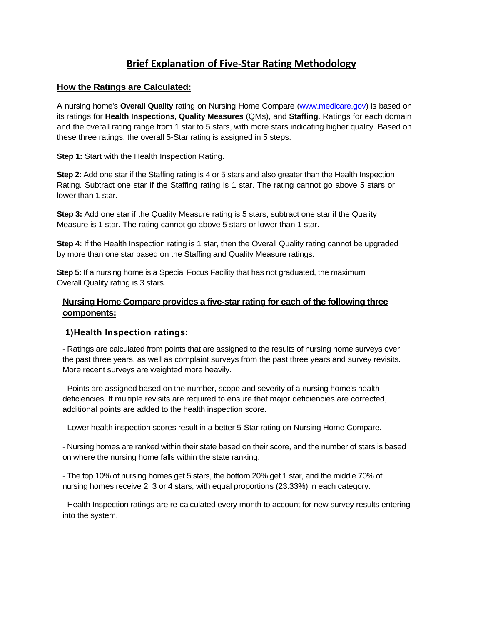# **Brief Explanation of Five‐Star Rating Methodology**

#### **How the Ratings are Calculated:**

A nursing home's **Overall Quality** rating on Nursing Home Compare (www.medicare.gov) is based on its ratings for **Health Inspections, Quality Measures** (QMs), and **Staffing**. Ratings for each domain and the overall rating range from 1 star to 5 stars, with more stars indicating higher quality. Based on these three ratings, the overall 5-Star rating is assigned in 5 steps:

**Step 1:** Start with the Health Inspection Rating.

**Step 2:** Add one star if the Staffing rating is 4 or 5 stars and also greater than the Health Inspection Rating. Subtract one star if the Staffing rating is 1 star. The rating cannot go above 5 stars or lower than 1 star.

**Step 3:** Add one star if the Quality Measure rating is 5 stars; subtract one star if the Quality Measure is 1 star. The rating cannot go above 5 stars or lower than 1 star.

**Step 4:** If the Health Inspection rating is 1 star, then the Overall Quality rating cannot be upgraded by more than one star based on the Staffing and Quality Measure ratings.

**Step 5:** If a nursing home is a Special Focus Facility that has not graduated, the maximum Overall Quality rating is 3 stars.

## **Nursing Home Compare provides a five-star rating for each of the following three components:**

#### **1)Health Inspection ratings:**

- Ratings are calculated from points that are assigned to the results of nursing home surveys over the past three years, as well as complaint surveys from the past three years and survey revisits. More recent surveys are weighted more heavily.

 additional points are added to the health inspection score. - Points are assigned based on the number, scope and severity of a nursing home's health deficiencies. If multiple revisits are required to ensure that major deficiencies are corrected,

- Lower health inspection scores result in a better 5-Star rating on Nursing Home Compare.

- Nursing homes are ranked within their state based on their score, and the number of stars is based on where the nursing home falls within the state ranking.

- The top 10% of nursing homes get 5 stars, the bottom 20% get 1 star, and the middle 70% of nursing homes receive 2, 3 or 4 stars, with equal proportions (23.33%) in each category.

- Health Inspection ratings are re-calculated every month to account for new survey results entering into the system.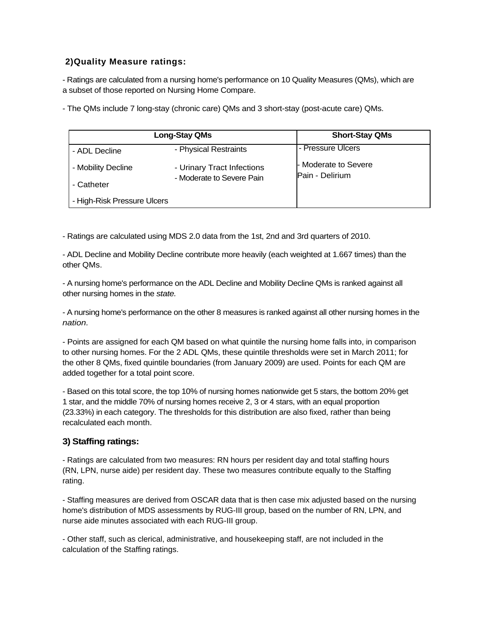## **2)Quality Measure ratings:**

- Ratings are calculated from a nursing home's performance on 10 Quality Measures (QMs), which are a subset of those reported on Nursing Home Compare.

- The QMs include 7 long-stay (chronic care) QMs and 3 short-stay (post-acute care) QMs.

| <b>Long-Stay QMs</b>        |                                                         | <b>Short-Stay QMs</b>                   |
|-----------------------------|---------------------------------------------------------|-----------------------------------------|
| - ADL Decline               | - Physical Restraints                                   | - Pressure Ulcers                       |
| - Mobility Decline          | - Urinary Tract Infections<br>- Moderate to Severe Pain | - Moderate to Severe<br>Pain - Delirium |
| - Catheter                  |                                                         |                                         |
| - High-Risk Pressure Ulcers |                                                         |                                         |

- Ratings are calculated using MDS 2.0 data from the 1st, 2nd and 3rd quarters of 2010.

- ADL Decline and Mobility Decline contribute more heavily (each weighted at 1.667 times) than the other QMs.

- A nursing home's performance on the ADL Decline and Mobility Decline QMs is ranked against all other nursing homes in the *state.* 

- A nursing home's performance on the other 8 measures is ranked against all other nursing homes in the *nation.* 

 added together for a total point score. - Points are assigned for each QM based on what quintile the nursing home falls into, in comparison to other nursing homes. For the 2 ADL QMs, these quintile thresholds were set in March 2011; for the other 8 QMs, fixed quintile boundaries (from January 2009) are used. Points for each QM are

 (23.33%) in each category. The thresholds for this distribution are also fixed, rather than being - Based on this total score, the top 10% of nursing homes nationwide get 5 stars, the bottom 20% get 1 star, and the middle 70% of nursing homes receive 2, 3 or 4 stars, with an equal proportion recalculated each month.

## **3) Staffing ratings:**

- Ratings are calculated from two measures: RN hours per resident day and total staffing hours (RN, LPN, nurse aide) per resident day. These two measures contribute equally to the Staffing rating.

- Staffing measures are derived from OSCAR data that is then case mix adjusted based on the nursing home's distribution of MDS assessments by RUG-III group, based on the number of RN, LPN, and nurse aide minutes associated with each RUG-III group.

- Other staff, such as clerical, administrative, and housekeeping staff, are not included in the calculation of the Staffing ratings.